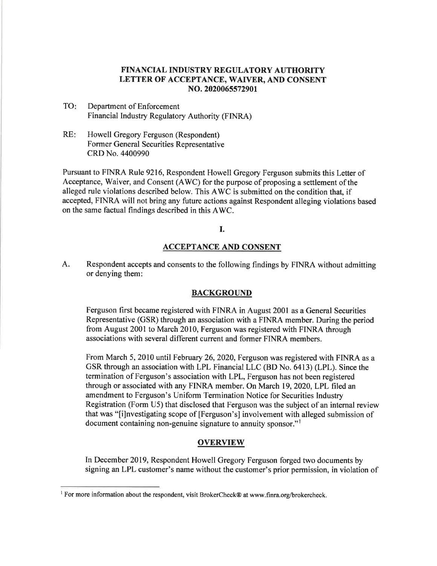# FINANCIAL INDUSTRY REGULATORY AUTHORITY LETTER OF ACCEPTANCE, WAIVER, AND CONSENT NO. 2020065572901

- TO: Department of Enforcement Financial Industry Regulatory Authority (FINRA)
- RE: Howell Gregory Ferguson (Respondent) Former General Securities Representative CRD No. 4400990

Pursuant to FINRA Rule 9216, Respondent Howell Gregory Ferguson submits this Letter of Acceptance, Waiver, and Consent (AWC) for the purpose of proposing a settlement of the alleged rule violations described below. This AWC is submitted on the condition that, if accepted, FINRA will not bring any future actions against Respondent alleging violations based on the same factual findings described in this AWC.

I.

## ACCEPTANCE AND CONSENT

A. Respondent accepts and consents to the following findings by FINRA without admitting or denying them:

### **BACKGROUND**

Ferguson first became registered with FINRA in August 2001 as a General Securities Representative (GSR) through an association with a FINRA member. During the period from August 2001 to March 2010, Ferguson was registered with FINRA through associations with several different current and former FINRA members.

From March 5, 2010 until February 26, 2020, Ferguson was registered with FINRA as a GSR through an association with LPL Financial LLC (BD No. 6413) (LPL). Since the termination of Ferguson's association with LPL, Ferguson has not been registered through or associated with any FINRA member. On March 19, 2020, LPL filed an amendment to Ferguson's Uniform Termination Notice for Securities Industry Registration (Form U5) that disclosed that Ferguson was the subject of an internal review that was "[i]nvestigating scope of [Ferguson's] involvement with alleged submission of document containing non-genuine signature to annuity sponsor."'

## OVERVIEW

In December 2019, Respondent Howell Gregory Ferguson forged two documents by signing an LPL customer's name without the customer's prior permission, in violation of

<sup>&</sup>lt;sup>1</sup> For more information about the respondent, visit BrokerCheck® at www.finra.org/brokercheck.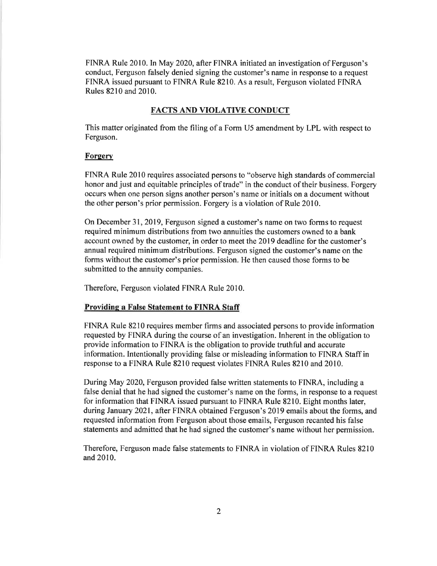FINRA Rule 2010. In May 2020, after FINRA initiated an investigation of Ferguson's conduct, Ferguson falsely denied signing the customer's name in response to a request FINRA issued pursuant to FINRA Rule 8210. As a result, Ferguson violated FINRA Rules 8210 and 2010.

#### FACTS AND VIOLATIVE CONDUCT

This matter originated from the filing of a Form U5 amendment by LPL with respect to Ferguson.

#### **Forgery**

FINRA Rule 2010 requires associated persons to "observe high standards of commercial honor and just and equitable principles of trade" in the conduct of their business. Forgery occurs when one person signs another person's name or initials on a document without the other person's prior permission. Forgery is a violation of Rule 2010.

On December 31, 2019, Ferguson signed a customer's name on two forms to request required minimum distributions from two annuities the customers owned to a bank account owned by the customer, in order to meet the 2019 deadline for the customer's annual required minimum distributions. Ferguson signed the customer's name on the forms without the customer's prior permission. He then caused those forms to be submitted to the annuity companies.

Therefore, Ferguson violated FINRA Rule 2010.

### Providing a False Statement to FINRA Staff

FINRA Rule 8210 requires member firms and associated persons to provide information requested by FINRA during the course of an investigation. Inherent in the obligation to provide information to FINRA is the obligation to provide truthful and accurate information. Intentionally providing false or misleading information to FINRA Staff in response to a FINRA Rule 8210 request violates FINRA Rules 8210 and 2010.

During May 2020, Ferguson provided false written statements to FINRA, including a false denial that he had signed the customer's name on the forms, in response to a request for information that FINRA issued pursuant to FINRA Rule 8210. Eight months later, during January 2021, after FINRA obtained Ferguson's 2019 emails about the forms, and requested information from Ferguson about those emails, Ferguson recanted his false statements and admitted that he had signed the customer's name without her permission.

Therefore, Ferguson made false statements to FINRA in violation of FINRA Rules 8210 and 2010.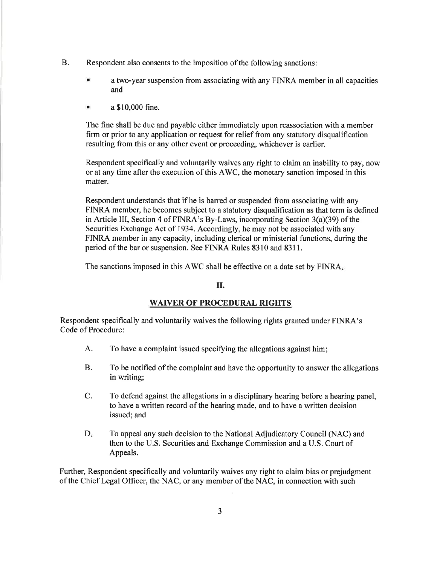- B. Respondent also consents to the imposition of the following sanctions:
	- a a two-year suspension from associating with any FINRA member in all capacities and
	- a a \$10,000 fine.

The fine shall be due and payable either immediately upon reassociation with a member firm or prior to any application or request for relief from any statutory disqualification resulting from this or any other event or proceeding, whichever is earlier.

Respondent specifically and voluntarily waives any right to claim an inability to pay, now or at any time after the execution of this AWC, the monetary sanction imposed in this matter.

Respondent understands that if he is barred or suspended from associating with any FINRA member, he becomes subject to a statutory disqualification as that term is defined in Article III, Section 4 of FINRA's By-Laws, incorporating Section 3(a)(39) of the Securities Exchange Act of 1934. Accordingly, he may not be associated with any FINRA member in any capacity, including clerical or ministerial functions, during the period of the bar or suspension. See FINRA Rules 8310 and 8311.

The sanctions imposed in this AWC shall be effective on a date set by FINRA,

## II.

## WAIVER OF PROCEDURAL RIGHTS

Respondent specifically and voluntarily waives the following rights granted under FINRA's Code of Procedure:

- A. To have a complaint issued specifying the allegations against him;
- B. To be notified of the complaint and have the opportunity to answer the allegations in writing;
- C. To defend against the allegations in a disciplinary hearing before a hearing panel, to have a written record of the hearing made, and to have a written decision issued; and
- D. To appeal any such decision to the National Adjudicatory Council (NAC) and then to the U.S. Securities and Exchange Commission and a U.S. Court of Appeals.

Further, Respondent specifically and voluntarily waives any right to claim bias or prejudgment of the Chief Legal Officer, the NAC, or any member of the NAC, in connection with such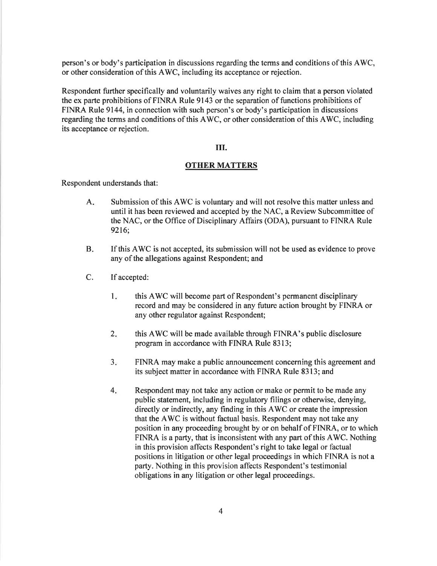person's or body's participation in discussions regarding the terms and conditions of this AWC, or other consideration of this AWC, including its acceptance or rejection.

Respondent further specifically and voluntarily waives any right to claim that a person violated the ex parte prohibitions of FINRA Rule 9143 or the separation of functions prohibitions of FINRA Rule 9144, in connection with such person's or body's participation in discussions regarding the terms and conditions of this AWC, or other consideration of this AWC, including its acceptance or rejection.

#### III.

### OTHER MATTERS

Respondent understands that:

- A. Submission of this AWC is voluntary and will not resolve this matter unless and until it has been reviewed and accepted by the NAC, a Review Subcommittee of the NAC, or the Office of Disciplinary Affairs (ODA), pursuant to FINRA Rule 9216;
- B. If this AWC is not accepted, its submission will not be used as evidence to prove any of the allegations against Respondent; and
- C. If accepted:
	- 1. this AWC will become part of Respondent's permanent disciplinary record and may be considered in any future action brought by FINRA or any other regulator against Respondent;
	- 2. this AWC will be made available through FINRA's public disclosure program in accordance with FINRA Rule 8313;
	- $3.$  FINRA may make a public announcement concerning this agreement and its subject matter in accordance with FINRA Rule 8313; and
	- 4. Respondent may not take any action or make or permit to be made any public statement, including in regulatory filings or otherwise, denying, directly or indirectly, any finding in this AWC or create the impression that the AWC is without factual basis. Respondent may not take any position in any proceeding brought by or on behalf of FINRA, or to which FINRA is a party, that is inconsistent with any part of this AWC. Nothing in this provision affects Respondent's right to take legal or factual positions in litigation or other legal proceedings in which FINRA is not a party. Nothing in this provision affects Respondent's testimonial obligations in any litigation or other legal proceedings.